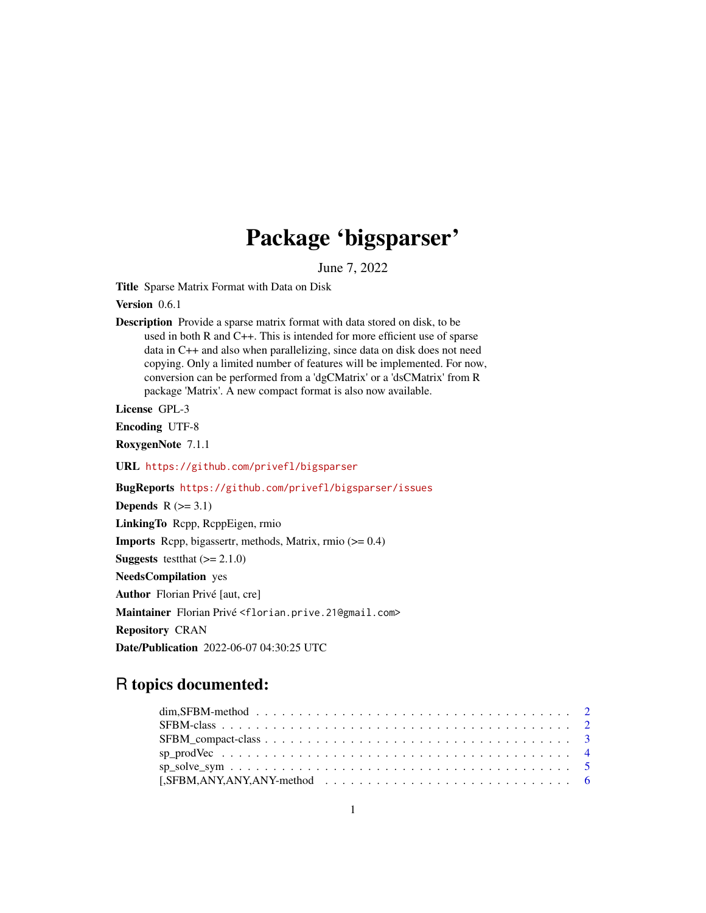## Package 'bigsparser'

June 7, 2022

<span id="page-0-0"></span>Title Sparse Matrix Format with Data on Disk

Version 0.6.1

Description Provide a sparse matrix format with data stored on disk, to be used in both R and C++. This is intended for more efficient use of sparse data in C++ and also when parallelizing, since data on disk does not need copying. Only a limited number of features will be implemented. For now, conversion can be performed from a 'dgCMatrix' or a 'dsCMatrix' from R package 'Matrix'. A new compact format is also now available.

License GPL-3

Encoding UTF-8

RoxygenNote 7.1.1

URL <https://github.com/privefl/bigsparser>

BugReports <https://github.com/privefl/bigsparser/issues>

Depends  $R$  ( $>= 3.1$ )

LinkingTo Rcpp, RcppEigen, rmio

**Imports** Rcpp, bigassertr, methods, Matrix, rmio  $(>= 0.4)$ 

**Suggests** test that  $(>= 2.1.0)$ 

NeedsCompilation yes

Author Florian Privé [aut, cre]

Maintainer Florian Privé <florian.prive.21@gmail.com>

Repository CRAN

Date/Publication 2022-06-07 04:30:25 UTC

### R topics documented:

| $sp\_solve\_sym$ 5 |  |
|--------------------|--|
|                    |  |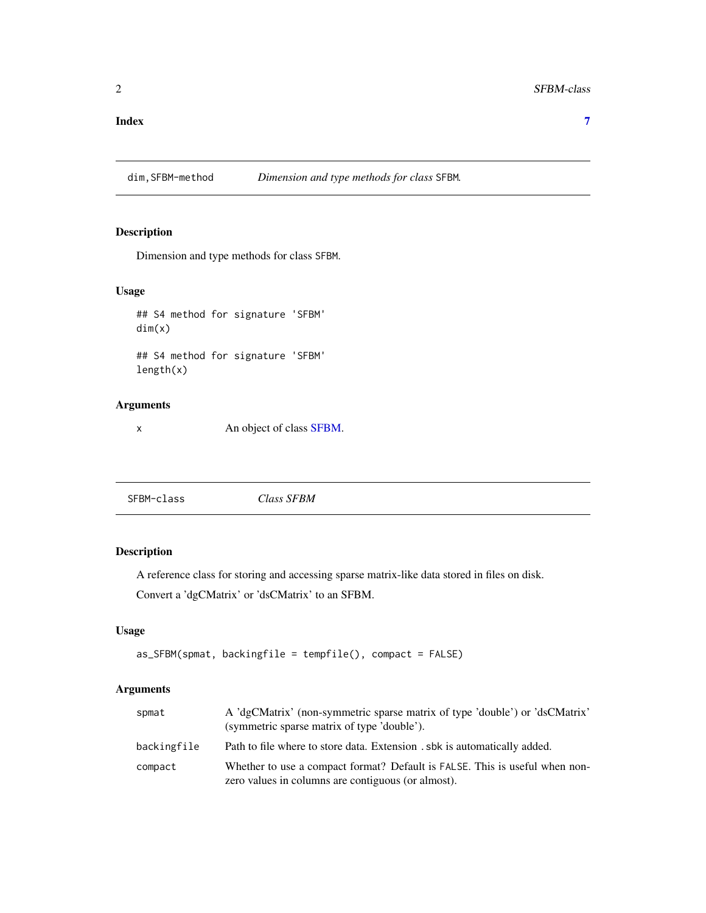#### <span id="page-1-0"></span>**Index** [7](#page-6-0) **7**

dim,SFBM-method *Dimension and type methods for class* SFBM*.*

#### Description

Dimension and type methods for class SFBM.

#### Usage

## S4 method for signature 'SFBM' dim(x) ## S4 method for signature 'SFBM' length(x)

#### Arguments

x An object of class [SFBM.](#page-1-1)

<span id="page-1-1"></span>

| Class SFBM<br>SFBM-class |
|--------------------------|
|--------------------------|

#### Description

A reference class for storing and accessing sparse matrix-like data stored in files on disk.

Convert a 'dgCMatrix' or 'dsCMatrix' to an SFBM.

#### Usage

```
as_SFBM(spmat, backingfile = tempfile(), compact = FALSE)
```
#### Arguments

| spmat       | A 'dgCMatrix' (non-symmetric sparse matrix of type 'double') or 'dsCMatrix'<br>(symmetric sparse matrix of type 'double').        |
|-------------|-----------------------------------------------------------------------------------------------------------------------------------|
| backingfile | Path to file where to store data. Extension , sbk is automatically added.                                                         |
| compact     | Whether to use a compact format? Default is FALSE. This is useful when non-<br>zero values in columns are contiguous (or almost). |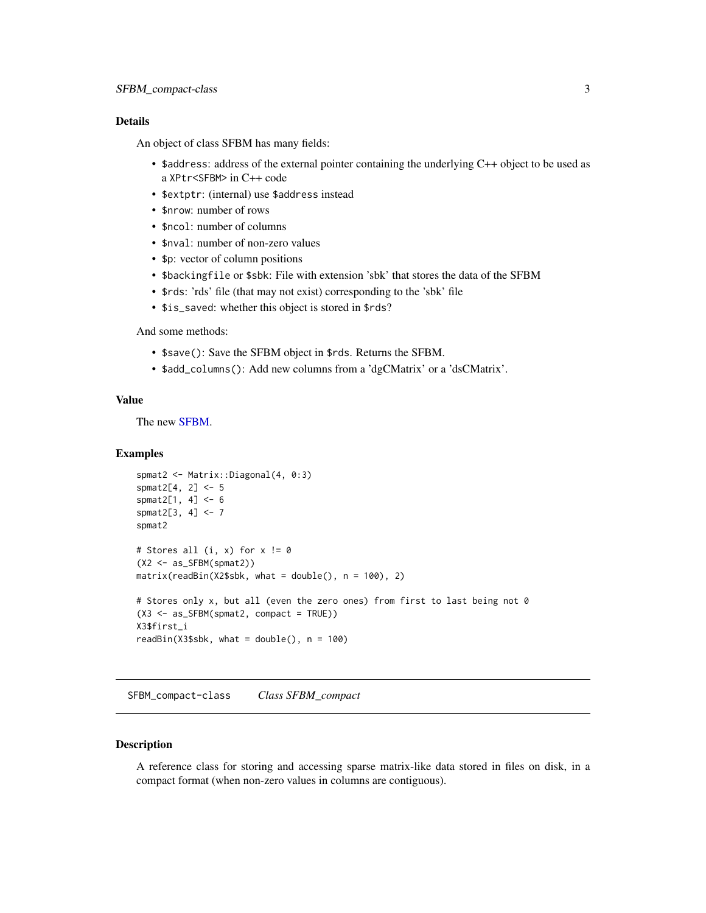#### <span id="page-2-0"></span>Details

An object of class SFBM has many fields:

- \$address: address of the external pointer containing the underlying C++ object to be used as a XPtr<SFBM> in C++ code
- \$extptr: (internal) use \$address instead
- \$nrow: number of rows
- \$ncol: number of columns
- \$nval: number of non-zero values
- \$p: vector of column positions
- \$backingfile or \$sbk: File with extension 'sbk' that stores the data of the SFBM
- \$rds: 'rds' file (that may not exist) corresponding to the 'sbk' file
- \$is\_saved: whether this object is stored in \$rds?

#### And some methods:

- \$save(): Save the SFBM object in \$rds. Returns the SFBM.
- \$add\_columns(): Add new columns from a 'dgCMatrix' or a 'dsCMatrix'.

#### Value

The new [SFBM.](#page-1-1)

#### Examples

```
spmat2 <- Matrix::Diagonal(4, 0:3)
spmat2[4, 2] <- 5
spmat2[1, 4] <- 6
spmat2[3, 4] <- 7
spmat2
# Stores all (i, x) for x := 0(X2 <- as_SFBM(spmat2))
matrix(readBin(X2$sbk, what = double(), n = 100), 2)# Stores only x, but all (even the zero ones) from first to last being not 0
(X3 <- as_SFBM(spmat2, compact = TRUE))
X3$first_i
readBin(X3$sbk, what = double(), n = 100)
```
SFBM\_compact-class *Class SFBM\_compact*

#### **Description**

A reference class for storing and accessing sparse matrix-like data stored in files on disk, in a compact format (when non-zero values in columns are contiguous).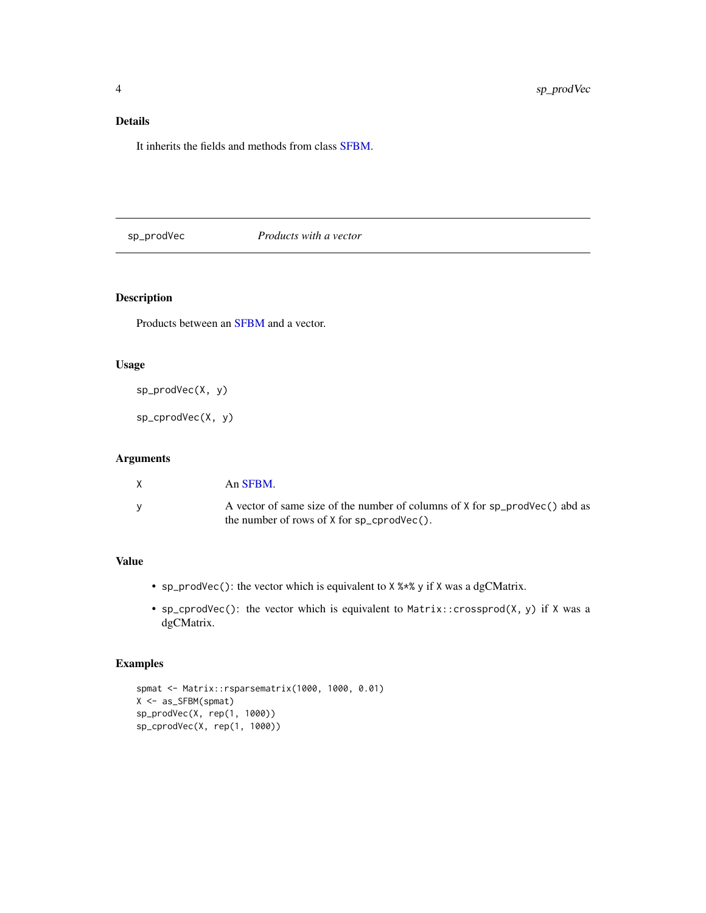#### <span id="page-3-0"></span>Details

It inherits the fields and methods from class [SFBM.](#page-1-1)

sp\_prodVec *Products with a vector*

#### Description

Products between an [SFBM](#page-1-1) and a vector.

#### Usage

sp\_prodVec(X, y)

sp\_cprodVec(X, y)

#### Arguments

| X        | An SFBM.                                                                                                                        |
|----------|---------------------------------------------------------------------------------------------------------------------------------|
| <b>V</b> | A vector of same size of the number of columns of X for sp_prodVec() abd as<br>the number of rows of $X$ for $sp_c$ cprodvec(). |

#### Value

- sp\_prodVec(): the vector which is equivalent to X %\*% y if X was a dgCMatrix.
- sp\_cprodVec(): the vector which is equivalent to Matrix::crossprod(X, y) if X was a dgCMatrix.

#### Examples

```
spmat <- Matrix::rsparsematrix(1000, 1000, 0.01)
X <- as_SFBM(spmat)
sp_prodVec(X, rep(1, 1000))
sp_cprodVec(X, rep(1, 1000))
```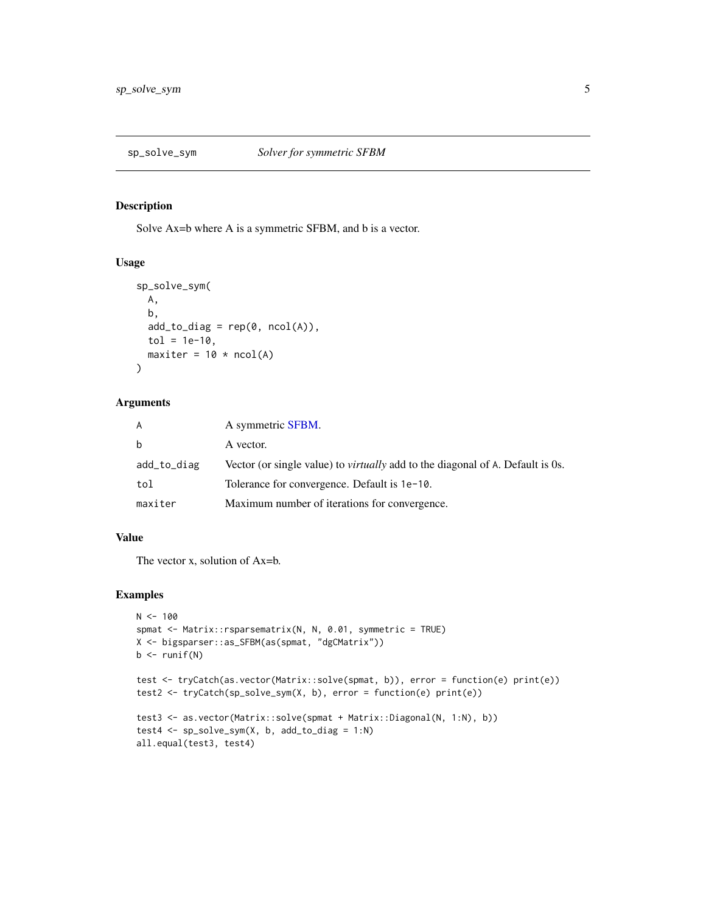<span id="page-4-0"></span>

#### Description

Solve Ax=b where A is a symmetric SFBM, and b is a vector.

#### Usage

```
sp_solve_sym(
 A,
 b,
  add\_to\_diag = rep(0, ncol(A)),tol = 1e-10,maxiter = 10 * \text{ncol(A)}\lambda
```
#### Arguments

| A           | A symmetric SFBM.                                                                     |
|-------------|---------------------------------------------------------------------------------------|
| b           | A vector.                                                                             |
| add_to_diag | Vector (or single value) to <i>virtually</i> add to the diagonal of A. Default is 0s. |
| tol         | Tolerance for convergence. Default is 1e-10.                                          |
| maxiter     | Maximum number of iterations for convergence.                                         |

#### Value

The vector x, solution of Ax=b.

#### Examples

```
N < - 100spmat <- Matrix::rsparsematrix(N, N, 0.01, symmetric = TRUE)
X <- bigsparser::as_SFBM(as(spmat, "dgCMatrix"))
b \leftarrow runif(N)test <- tryCatch(as.vector(Matrix::solve(spmat, b)), error = function(e) print(e))
test2 <- tryCatch(sp_solve_sym(X, b), error = function(e) print(e))
test3 <- as.vector(Matrix::solve(spmat + Matrix::Diagonal(N, 1:N), b))
test4 <- sp_solve_sym(X, b, add_to_diag = 1:N)
all.equal(test3, test4)
```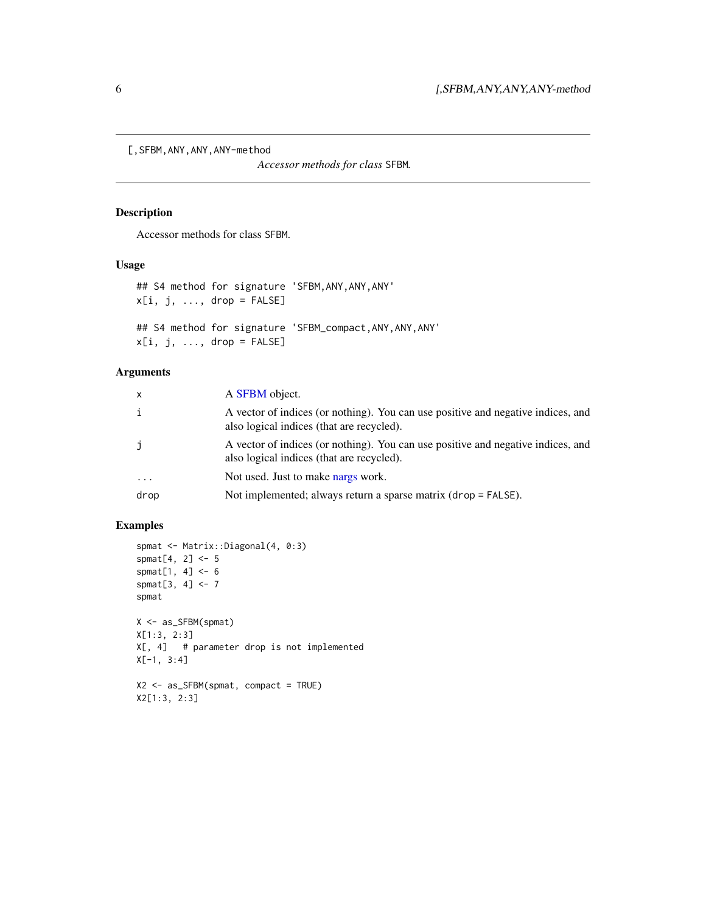<span id="page-5-0"></span>[,SFBM,ANY,ANY,ANY-method

*Accessor methods for class* SFBM*.*

#### Description

Accessor methods for class SFBM.

#### Usage

```
## S4 method for signature 'SFBM,ANY,ANY,ANY'
x[i, j, ..., drop = FALSE]## S4 method for signature 'SFBM_compact,ANY,ANY,ANY'
x[i, j, ..., drop = FALSE]
```
#### Arguments

| $\boldsymbol{\mathsf{x}}$ | A <b>SFBM</b> object.                                                                                                         |
|---------------------------|-------------------------------------------------------------------------------------------------------------------------------|
|                           | A vector of indices (or nothing). You can use positive and negative indices, and<br>also logical indices (that are recycled). |
|                           | A vector of indices (or nothing). You can use positive and negative indices, and<br>also logical indices (that are recycled). |
| .                         | Not used. Just to make nargs work.                                                                                            |
| drop                      | Not implemented; always return a sparse matrix (drop = FALSE).                                                                |
|                           |                                                                                                                               |

#### Examples

X2[1:3, 2:3]

```
spmat <- Matrix::Diagonal(4, 0:3)
spmat[4, 2] <- 5
spmat[1, 4] <- 6
spmat[3, 4] <- 7
spmat
X <- as_SFBM(spmat)
X[1:3, 2:3]
X[, 4] # parameter drop is not implemented
X[-1, 3:4]
X2 <- as_SFBM(spmat, compact = TRUE)
```